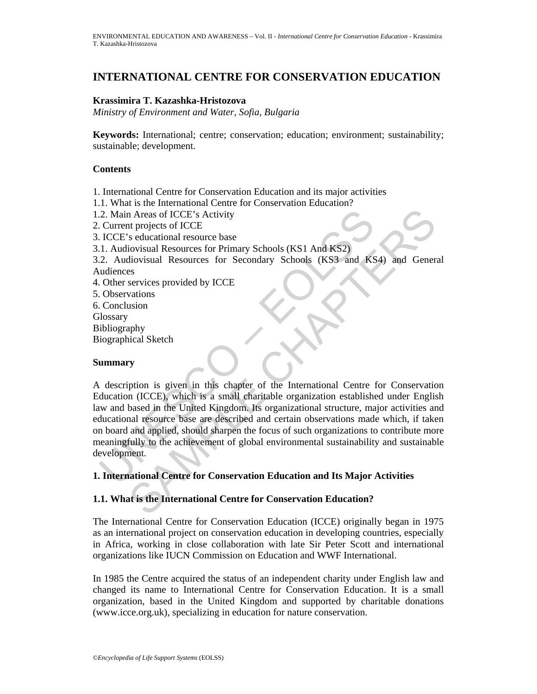# **INTERNATIONAL CENTRE FOR CONSERVATION EDUCATION**

### **Krassimira T. Kazashka-Hristozova**

*Ministry of Environment and Water, Sofia, Bulgaria* 

**Keywords:** International; centre; conservation; education; environment; sustainability; sustainable; development.

### **Contents**

1. International Centre for Conservation Education and its major activities

- 1.1. What is the International Centre for Conservation Education?
- 1.2. Main Areas of ICCE's Activity
- 2. Current projects of ICCE
- 3. ICCE's educational resource base
- 3.1. Audiovisual Resources for Primary Schools (KS1 And KS2)

3.2. Audiovisual Resources for Secondary Schools (KS3 and KS4) and General Audiences

- 4. Other services provided by ICCE
- 5. Observations
- 6. Conclusion
- **Glossary**
- Bibliography
- Biographical Sketch

# **Summary**

2. Main Areas of ICCE's Activity<br>
2. Current projects of ICCE<br>
1. Current projects of ICCE<br>
1.1 Audiovisual Resource base<br>
1.1 Audiovisual Resources for Primary Schools (KS1 And KS2)<br>
2. Audiovisual Resources for Secondary The projects of ICCE's Activity<br>
and Areas of ICCE's seducational resource base<br>
seducational Resources for Primary Schools (KS1 And KS2)<br>
sextentional Resources for Secondary Schools (KS3 and KS4) and Gener:<br>
Services pro A description is given in this chapter of the International Centre for Conservation Education (ICCE), which is a small charitable organization established under English law and based in the United Kingdom. Its organizational structure, major activities and educational resource base are described and certain observations made which, if taken on board and applied, should sharpen the focus of such organizations to contribute more meaningfully to the achievement of global environmental sustainability and sustainable development.

# **1. International Centre for Conservation Education and Its Major Activities**

# **1.1. What is the International Centre for Conservation Education?**

The International Centre for Conservation Education (ICCE) originally began in 1975 as an international project on conservation education in developing countries, especially in Africa, working in close collaboration with late Sir Peter Scott and international organizations like IUCN Commission on Education and WWF International.

In 1985 the Centre acquired the status of an independent charity under English law and changed its name to International Centre for Conservation Education. It is a small organization, based in the United Kingdom and supported by charitable donations (www.icce.org.uk), specializing in education for nature conservation.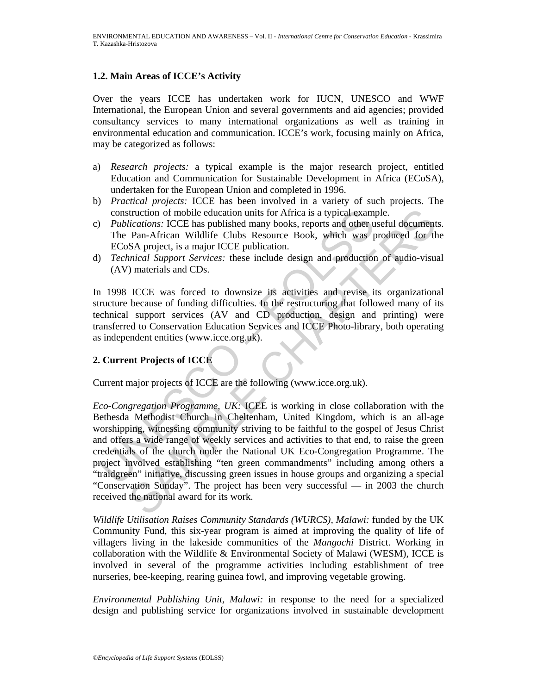### **1.2. Main Areas of ICCE's Activity**

Over the years ICCE has undertaken work for IUCN, UNESCO and WWF International, the European Union and several governments and aid agencies; provided consultancy services to many international organizations as well as training in environmental education and communication. ICCE's work, focusing mainly on Africa, may be categorized as follows:

- a) *Research projects:* a typical example is the major research project, entitled Education and Communication for Sustainable Development in Africa (ECoSA), undertaken for the European Union and completed in 1996.
- b) *Practical projects:* ICCE has been involved in a variety of such projects. The construction of mobile education units for Africa is a typical example.
- c) *Publications:* ICCE has published many books, reports and other useful documents. The Pan-African Wildlife Clubs Resource Book, which was produced for the ECoSA project, is a major ICCE publication.
- d) *Technical Support Services:* these include design and production of audio-visual (AV) materials and CDs.

In 1998 ICCE was forced to downsize its activities and revise its organizational structure because of funding difficulties. In the restructuring that followed many of its technical support services (AV and CD production, design and printing) were transferred to Conservation Education Services and ICCE Photo-library, both operating as independent entities (www.icce.org.uk).

# **2. Current Projects of ICCE**

Current major projects of ICCE are the following (www.icce.org.uk).

construction of mobile education units for Africa is a typical example *Publications:* ICCE has published many books, reports and other unit The Pan-African Wildlife Clubs Resource Book, which was percepted and project, is truction of mobile education units for Africa is a typical example.<br>
liceations: ICCE has published many books, reports and other useful document<br>
Pan-African Wildlife Clubs Resource Book, which was produced for the<br>
SA pr *Eco-Congregation Programme, UK:* ICEE is working in close collaboration with the Bethesda Methodist Church in Cheltenham, United Kingdom, which is an all-age worshipping, witnessing community striving to be faithful to the gospel of Jesus Christ and offers a wide range of weekly services and activities to that end, to raise the green credentials of the church under the National UK Eco-Congregation Programme. The project involved establishing "ten green commandments" including among others a "traidgreen" initiative, discussing green issues in house groups and organizing a special "Conservation Sunday". The project has been very successful — in 2003 the church received the national award for its work.

*Wildlife Utilisation Raises Community Standards (WURCS), Malawi:* funded by the UK Community Fund, this six-year program is aimed at improving the quality of life of villagers living in the lakeside communities of the *Mangochi* District. Working in collaboration with the Wildlife  $\&$  Environmental Society of Malawi (WESM), ICCE is involved in several of the programme activities including establishment of tree nurseries, bee-keeping, rearing guinea fowl, and improving vegetable growing.

*Environmental Publishing Unit, Malawi:* in response to the need for a specialized design and publishing service for organizations involved in sustainable development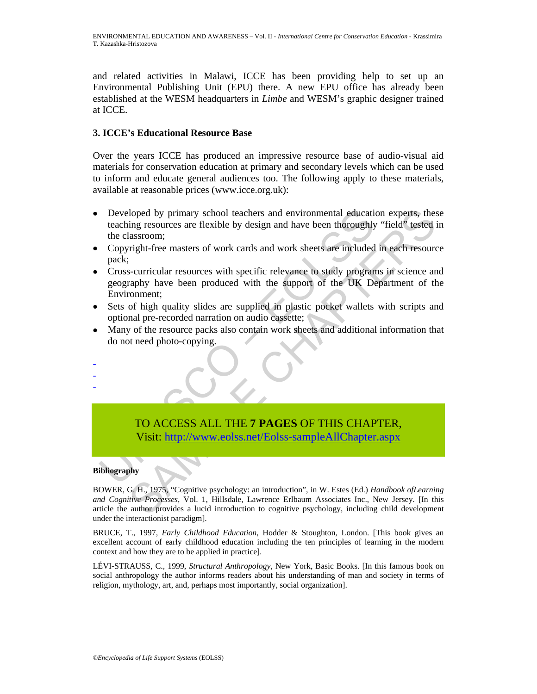and related activities in Malawi, ICCE has been providing help to set up an Environmental Publishing Unit (EPU) there. A new EPU office has already been established at the WESM headquarters in *Limbe* and WESM's graphic designer trained at ICCE.

### **3. ICCE's Educational Resource Base**

Over the years ICCE has produced an impressive resource base of audio-visual aid materials for conservation education at primary and secondary levels which can be used to inform and educate general audiences too. The following apply to these materials, available at reasonable prices (www.icce.org.uk):

- Comparison and environmental education experts, they alone the minimum resources are flexible by design and have been thoroughly "field" tested in classroom;<br>
Sassroom;<br>
Securicular resources with specific relevance to stu • Developed by primary school teachers and environmental education experts, these teaching resources are flexible by design and have been thoroughly "field" tested in the classroom;
- Copyright-free masters of work cards and work sheets are included in each resource pack;
- Developed by primary school teachers and environmental education<br>teaching resources are flexible by design and have been thoroughly<br>the classroom;<br>the values of work cards and work sheets are included<br>pack;<br>Cross-curricula • Cross-curricular resources with specific relevance to study programs in science and geography have been produced with the support of the UK Department of the Environment;
- Sets of high quality slides are supplied in plastic pocket wallets with scripts and optional pre-recorded narration on audio cassette;
- Many of the resource packs also contain work sheets and additional information that do not need photo-copying.

# TO ACCESS ALL THE **7 PAGES** OF THIS CHAPTER, Visit: http://www.eolss.net/Eolss-sampleAllChapter.aspx

#### **Bibliography**

- - -

BOWER, G. H., 1975, "Cognitive psychology: an introduction", in W. Estes (Ed.) *Handbook ofLearning and Cognitive Processes*, Vol. 1, Hillsdale, Lawrence Erlbaum Associates Inc., New Jersey. [In this article the author provides a lucid introduction to cognitive psychology, including child development under the interactionist paradigm].

BRUCE, T., 1997, *Early Childhood Education*, Hodder & Stoughton, London. [This book gives an excellent account of early childhood education including the ten principles of learning in the modern context and how they are to be applied in practice].

LÉVI-STRAUSS, C., 1999, *Structural Anthropology*, New York, Basic Books. [In this famous book on social anthropology the author informs readers about his understanding of man and society in terms of religion, mythology, art, and, perhaps most importantly, social organization].